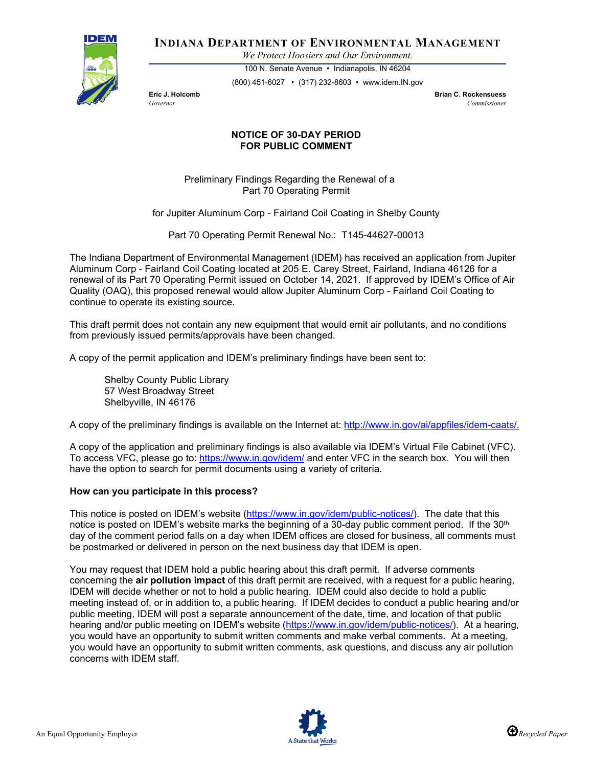

**INDIANA DEPARTMENT OF ENVIRONMENTAL MANAGEMENT**

*We Protect Hoosiers and Our Environment.*

100 N. Senate Avenue • Indianapolis, IN 46204 (800) 451-6027 • (317) 232-8603 • www.idem.IN.gov

**Eric J. Holcomb Brian C. Rockensuess** *Governor Commissioner* 

## **NOTICE OF 30-DAY PERIOD FOR PUBLIC COMMENT**

Preliminary Findings Regarding the Renewal of a Part 70 Operating Permit

for Jupiter Aluminum Corp - Fairland Coil Coating in Shelby County

Part 70 Operating Permit Renewal No.: T145-44627-00013

The Indiana Department of Environmental Management (IDEM) has received an application from Jupiter Aluminum Corp - Fairland Coil Coating located at 205 E. Carey Street, Fairland, Indiana 46126 for a renewal of its Part 70 Operating Permit issued on October 14, 2021. If approved by IDEM's Office of Air Quality (OAQ), this proposed renewal would allow Jupiter Aluminum Corp - Fairland Coil Coating to continue to operate its existing source.

This draft permit does not contain any new equipment that would emit air pollutants, and no conditions from previously issued permits/approvals have been changed.

A copy of the permit application and IDEM's preliminary findings have been sent to:

Shelby County Public Library 57 West Broadway Street Shelbyville, IN 46176

A copy of the preliminary findings is available on the Internet at: [http://www.in.gov/ai/appfiles/idem-caats/.](http://www.in.gov/ai/appfiles/idem-caats/)

A copy of the application and preliminary findings is also available via IDEM's Virtual File Cabinet (VFC). To access VFC, please go to:<https://www.in.gov/idem/> and enter VFC in the search box. You will then have the option to search for permit documents using a variety of criteria.

## **How can you participate in this process?**

This notice is posted on IDEM's website [\(https://www.in.gov/idem/public-notices/\)](https://www.in.gov/idem/public-notices/). The date that this notice is posted on IDEM's website marks the beginning of a 30-day public comment period. If the 30<sup>th</sup> day of the comment period falls on a day when IDEM offices are closed for business, all comments must be postmarked or delivered in person on the next business day that IDEM is open.

You may request that IDEM hold a public hearing about this draft permit. If adverse comments concerning the **air pollution impact** of this draft permit are received, with a request for a public hearing, IDEM will decide whether or not to hold a public hearing. IDEM could also decide to hold a public meeting instead of, or in addition to, a public hearing. If IDEM decides to conduct a public hearing and/or public meeting, IDEM will post a separate announcement of the date, time, and location of that public hearing and/or public meeting on IDEM's website [\(https://www.in.gov/idem/public-notices/\)](https://www.in.gov/idem/public-notices/). At a hearing, you would have an opportunity to submit written comments and make verbal comments. At a meeting, you would have an opportunity to submit written comments, ask questions, and discuss any air pollution concerns with IDEM staff.